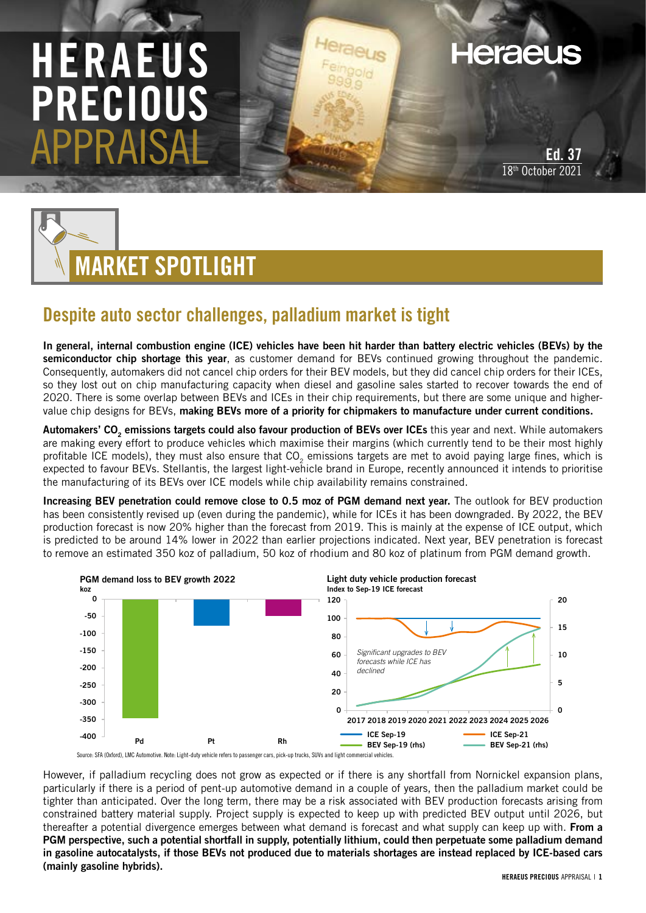## HERAEUS PRECI APPRAISAL

**Heraeus** 

Ed. 37 18<sup>th</sup> October 2021



## Despite auto sector challenges, palladium market is tight

In general, internal combustion engine (ICE) vehicles have been hit harder than battery electric vehicles (BEVs) by the semiconductor chip shortage this year, as customer demand for BEVs continued growing throughout the pandemic. Consequently, automakers did not cancel chip orders for their BEV models, but they did cancel chip orders for their ICEs, so they lost out on chip manufacturing capacity when diesel and gasoline sales started to recover towards the end of 2020. There is some overlap between BEVs and ICEs in their chip requirements, but there are some unique and highervalue chip designs for BEVs, making BEVs more of a priority for chipmakers to manufacture under current conditions.

Automakers' CO<sub>2</sub> emissions targets could also favour production of BEVs over ICEs this year and next. While automakers are making every effort to produce vehicles which maximise their margins (which currently tend to be their most highly profitable ICE models), they must also ensure that CO<sub>2</sub> emissions targets are met to avoid paying large fines, which is expected to favour BEVs. Stellantis, the largest light-vehicle brand in Europe, recently announced it intends to prioritise the manufacturing of its BEVs over ICE models while chip availability remains constrained.

Increasing BEV penetration could remove close to 0.5 moz of PGM demand next year. The outlook for BEV production has been consistently revised up (even during the pandemic), while for ICEs it has been downgraded. By 2022, the BEV production forecast is now 20% higher than the forecast from 2019. This is mainly at the expense of ICE output, which is predicted to be around 14% lower in 2022 than earlier projections indicated. Next year, BEV penetration is forecast to remove an estimated 350 koz of palladium, 50 koz of rhodium and 80 koz of platinum from PGM demand growth.



However, if palladium recycling does not grow as expected or if there is any shortfall from Nornickel expansion plans, particularly if there is a period of pent-up automotive demand in a couple of years, then the palladium market could be tighter than anticipated. Over the long term, there may be a risk associated with BEV production forecasts arising from constrained battery material supply. Project supply is expected to keep up with predicted BEV output until 2026, but thereafter a potential divergence emerges between what demand is forecast and what supply can keep up with. From a PGM perspective, such a potential shortfall in supply, potentially lithium, could then perpetuate some palladium demand in gasoline autocatalysts, if those BEVs not produced due to materials shortages are instead replaced by ICE-based cars (mainly gasoline hybrids).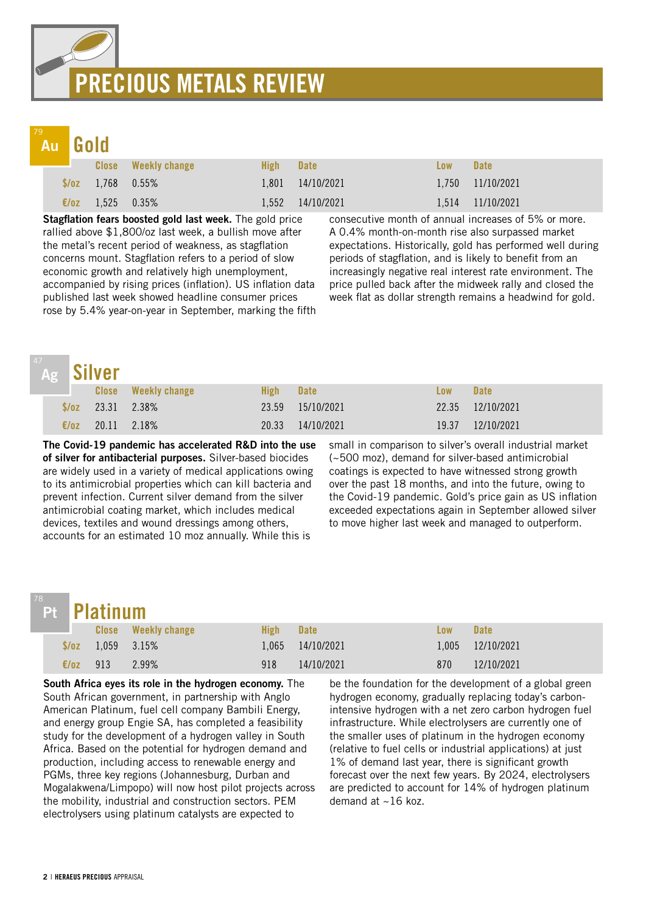## PRECIOUS METALS REVIEW

## Au

Gold

|  |                               | <b>Close</b> Weekly change | High- | <b>Date</b>      | Low | <b>Date</b>          |
|--|-------------------------------|----------------------------|-------|------------------|-----|----------------------|
|  | $\sqrt{$70z}$ 1.768 0.55%     |                            |       | 1,801 14/10/2021 |     | $1,750$ $11/10/2021$ |
|  | $\epsilon/\sigma$ 1.525 0.35% |                            | 1.552 | 14/10/2021       |     | 1,514 11/10/2021     |

Stagflation fears boosted gold last week. The gold price rallied above \$1,800/oz last week, a bullish move after the metal's recent period of weakness, as stagflation concerns mount. Stagflation refers to a period of slow economic growth and relatively high unemployment, accompanied by rising prices (inflation). US inflation data published last week showed headline consumer prices rose by 5.4% year-on-year in September, marking the fifth

consecutive month of annual increases of 5% or more. A 0.4% month-on-month rise also surpassed market expectations. Historically, gold has performed well during periods of stagflation, and is likely to benefit from an increasingly negative real interest rate environment. The price pulled back after the midweek rally and closed the week flat as dollar strength remains a headwind for gold.

| 47. |                | Ag Silver |                            |       |             |       |                  |  |  |  |
|-----|----------------|-----------|----------------------------|-------|-------------|-------|------------------|--|--|--|
|     |                |           | <b>Close</b> Weekly change | High  | <b>Date</b> | Low   | <b>Date</b>      |  |  |  |
|     | 23.31<br>S/OZ  |           | 2.38%                      | 23.59 | 15/10/2021  |       | 22.35 12/10/2021 |  |  |  |
|     | $\epsilon$ /oz | 20.11     | 2.18%                      | 20.33 | 14/10/2021  | 19.37 | 12/10/2021       |  |  |  |

The Covid-19 pandemic has accelerated R&D into the use of silver for antibacterial purposes. Silver-based biocides are widely used in a variety of medical applications owing to its antimicrobial properties which can kill bacteria and prevent infection. Current silver demand from the silver antimicrobial coating market, which includes medical devices, textiles and wound dressings among others, accounts for an estimated 10 moz annually. While this is

small in comparison to silver's overall industrial market (~500 moz), demand for silver-based antimicrobial coatings is expected to have witnessed strong growth over the past 18 months, and into the future, owing to the Covid-19 pandemic. Gold's price gain as US inflation exceeded expectations again in September allowed silver to move higher last week and managed to outperform.

## Pt

|                         |      | Pt Platinum            |                            |             |                  |     |                  |  |  |  |  |
|-------------------------|------|------------------------|----------------------------|-------------|------------------|-----|------------------|--|--|--|--|
| <u> 1999 - Jan Jawa</u> |      |                        | <b>Close</b> Weekly change | <b>High</b> | <b>Date</b>      | Low | <b>Date</b>      |  |  |  |  |
|                         |      | $\sqrt{2}$ 1.059 3.15% |                            |             | 1.065 14/10/2021 |     | 1,005 12/10/2021 |  |  |  |  |
|                         | E/0Z | 913                    | 2.99%                      | 918         | 14/10/2021       | 870 | 12/10/2021       |  |  |  |  |

South Africa eyes its role in the hydrogen economy. The South African government, in partnership with Anglo American Platinum, fuel cell company Bambili Energy, and energy group Engie SA, has completed a feasibility study for the development of a hydrogen valley in South Africa. Based on the potential for hydrogen demand and production, including access to renewable energy and PGMs, three key regions (Johannesburg, Durban and Mogalakwena/Limpopo) will now host pilot projects across the mobility, industrial and construction sectors. PEM electrolysers using platinum catalysts are expected to

be the foundation for the development of a global green hydrogen economy, gradually replacing today's carbonintensive hydrogen with a net zero carbon hydrogen fuel infrastructure. While electrolysers are currently one of the smaller uses of platinum in the hydrogen economy (relative to fuel cells or industrial applications) at just 1% of demand last year, there is significant growth forecast over the next few years. By 2024, electrolysers are predicted to account for 14% of hydrogen platinum demand at  $\sim$  16 koz.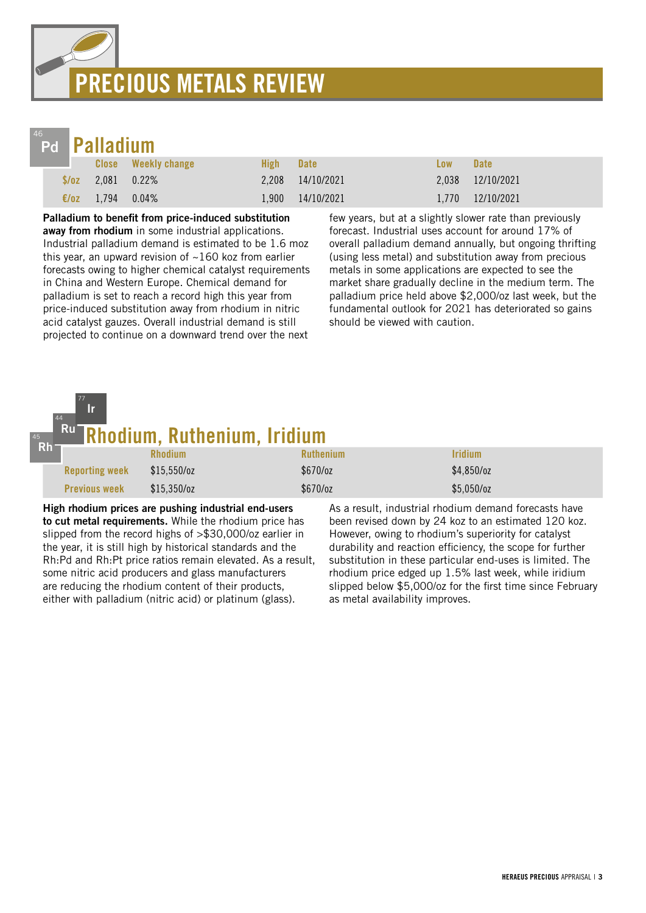# PRECIOUS METALS REVIEW



|      | Pd Palladium         |                            |               |                  |            |                   |  |  |  |  |
|------|----------------------|----------------------------|---------------|------------------|------------|-------------------|--|--|--|--|
|      |                      | <b>Close</b> Weekly change | High <b>M</b> | <b>Date</b>      | <b>Low</b> | <b>Date</b>       |  |  |  |  |
|      | $\sqrt{2.081}$ 0.22% |                            |               | 2,208 14/10/2021 |            | 2,038 12/10/2021  |  |  |  |  |
| E/OZ | 1,794 0.04%          |                            |               | 1,900 14/10/2021 |            | 1,770  12/10/2021 |  |  |  |  |

Palladium to benefit from price-induced substitution away from rhodium in some industrial applications. Industrial palladium demand is estimated to be 1.6 moz this year, an upward revision of  $~160$  koz from earlier forecasts owing to higher chemical catalyst requirements in China and Western Europe. Chemical demand for palladium is set to reach a record high this year from price-induced substitution away from rhodium in nitric acid catalyst gauzes. Overall industrial demand is still projected to continue on a downward trend over the next

few years, but at a slightly slower rate than previously forecast. Industrial uses account for around 17% of overall palladium demand annually, but ongoing thrifting (using less metal) and substitution away from precious metals in some applications are expected to see the market share gradually decline in the medium term. The palladium price held above \$2,000/oz last week, but the fundamental outlook for 2021 has deteriorated so gains should be viewed with caution.

#### **hodium, Ruthenium, Iridium**<br>Rhodium Rhodium Ruthenium Ruthenium **Ruthenium** Reporting week  $$15,550/oz$   $$670/oz$   $$4,850/oz$ Previous week  $$15,350/oz$   $$670/oz$   $$5,050/oz$ 45 Rh 44 Ru 77 Ir

High rhodium prices are pushing industrial end-users to cut metal requirements. While the rhodium price has slipped from the record highs of >\$30,000/oz earlier in the year, it is still high by historical standards and the Rh:Pd and Rh:Pt price ratios remain elevated. As a result, some nitric acid producers and glass manufacturers are reducing the rhodium content of their products, either with palladium (nitric acid) or platinum (glass).

As a result, industrial rhodium demand forecasts have been revised down by 24 koz to an estimated 120 koz. However, owing to rhodium's superiority for catalyst durability and reaction efficiency, the scope for further substitution in these particular end-uses is limited. The rhodium price edged up 1.5% last week, while iridium slipped below \$5,000/oz for the first time since February as metal availability improves.